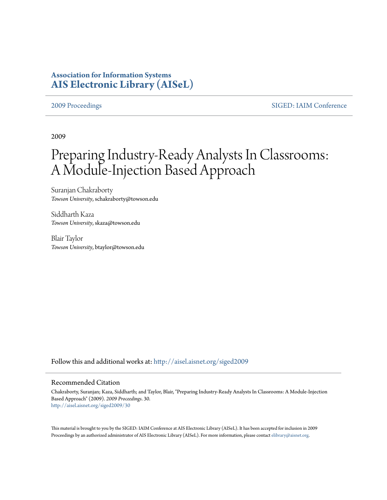# **Association for Information Systems [AIS Electronic Library \(AISeL\)](http://aisel.aisnet.org?utm_source=aisel.aisnet.org%2Fsiged2009%2F30&utm_medium=PDF&utm_campaign=PDFCoverPages)**

[2009 Proceedings](http://aisel.aisnet.org/siged2009?utm_source=aisel.aisnet.org%2Fsiged2009%2F30&utm_medium=PDF&utm_campaign=PDFCoverPages) [SIGED: IAIM Conference](http://aisel.aisnet.org/siged?utm_source=aisel.aisnet.org%2Fsiged2009%2F30&utm_medium=PDF&utm_campaign=PDFCoverPages)

2009

# Preparing Industry-Ready Analysts In Classrooms: A Module-Injection Based Approach

Suranjan Chakraborty *Towson University*, schakraborty@towson.edu

Siddharth Kaza *Towson University*, skaza@towson.edu

Blair Taylor *Towson University*, btaylor@towson.edu

Follow this and additional works at: [http://aisel.aisnet.org/siged2009](http://aisel.aisnet.org/siged2009?utm_source=aisel.aisnet.org%2Fsiged2009%2F30&utm_medium=PDF&utm_campaign=PDFCoverPages)

#### Recommended Citation

Chakraborty, Suranjan; Kaza, Siddharth; and Taylor, Blair, "Preparing Industry-Ready Analysts In Classrooms: A Module-Injection Based Approach" (2009). *2009 Proceedings*. 30. [http://aisel.aisnet.org/siged2009/30](http://aisel.aisnet.org/siged2009/30?utm_source=aisel.aisnet.org%2Fsiged2009%2F30&utm_medium=PDF&utm_campaign=PDFCoverPages)

This material is brought to you by the SIGED: IAIM Conference at AIS Electronic Library (AISeL). It has been accepted for inclusion in 2009 Proceedings by an authorized administrator of AIS Electronic Library (AISeL). For more information, please contact [elibrary@aisnet.org](mailto:elibrary@aisnet.org%3E).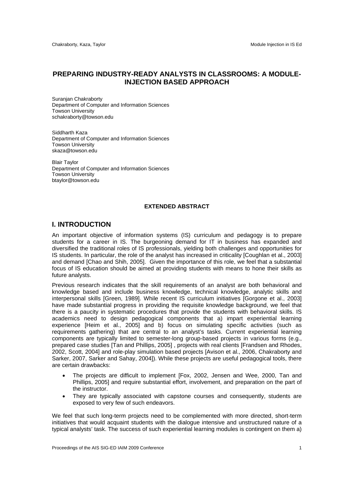# **PREPARING INDUSTRY-READY ANALYSTS IN CLASSROOMS: A MODULE-INJECTION BASED APPROACH**

Suranjan Chakraborty Department of Computer and Information Sciences Towson University schakraborty@towson.edu

Siddharth Kaza Department of Computer and Information Sciences Towson University skaza@towson.edu

Blair Taylor Department of Computer and Information Sciences Towson University btaylor@towson.edu

#### **EXTENDED ABSTRACT**

### **I. INTRODUCTION**

An important objective of information systems (IS) curriculum and pedagogy is to prepare students for a career in IS. The burgeoning demand for IT in business has expanded and diversified the traditional roles of IS professionals, yielding both challenges and opportunities for IS students. In particular, the role of the analyst has increased in criticality [Coughlan et al., 2003] and demand [Chao and Shih, 2005]. Given the importance of this role, we feel that a substantial focus of IS education should be aimed at providing students with means to hone their skills as future analysts.

Previous research indicates that the skill requirements of an analyst are both behavioral and knowledge based and include business knowledge, technical knowledge, analytic skills and interpersonal skills [Green, 1989]. While recent IS curriculum initiatives [Gorgone et al., 2003] have made substantial progress in providing the requisite knowledge background, we feel that there is a paucity in systematic procedures that provide the students with behavioral skills. IS academics need to design pedagogical components that a) impart experiential learning experience [Heim et al., 2005] and b) focus on simulating specific activities (such as requirements gathering) that are central to an analyst's tasks. Current experiential learning components are typically limited to semester-long group-based projects in various forms (e.g., prepared case studies [Tan and Phillips, 2005] , projects with real clients [Frandsen and Rhodes, 2002, Scott, 2004] and role-play simulation based projects [Avison et al., 2006, Chakraborty and Sarker, 2007, Sarker and Sahay, 2004]). While these projects are useful pedagogical tools, there are certain drawbacks:

- The projects are difficult to implement [Fox, 2002, Jensen and Wee, 2000, Tan and Phillips, 2005] and require substantial effort, involvement, and preparation on the part of the instructor.
- They are typically associated with capstone courses and consequently, students are exposed to very few of such endeavors.

We feel that such long-term projects need to be complemented with more directed, short-term initiatives that would acquaint students with the dialogue intensive and unstructured nature of a typical analysts' task. The success of such experiential learning modules is contingent on them a)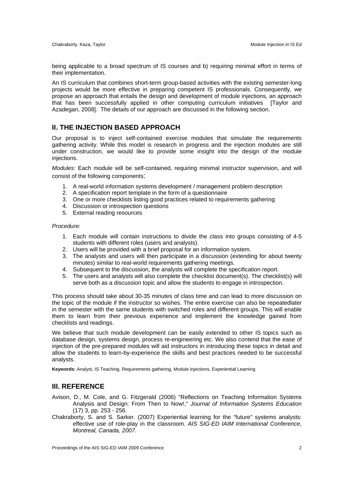being applicable to a broad spectrum of IS courses and b) requiring minimal effort in terms of their implementation.

An IS curriculum that combines short-term group-based activities with the existing semester-long projects would be more effective in preparing competent IS professionals. Consequently, we propose an approach that entails the design and development of module injections, an approach that has been successfully applied in other computing curriculum initiatives [Taylor and Azadegan, 2008]. The details of our approach are discussed in the following section.

# **II. THE INJECTION BASED APPROACH**

Our proposal is to inject self-contained exercise modules that simulate the requirements gathering activity. While this model is research in progress and the injection modules are still under construction, we would like to provide some insight into the design of the module injections.

*Modules*: Each module will be self-contained, requiring minimal instructor supervision, and will consist of the following components:

- 1. A real-world information systems development / management problem description
- 2. A specification report template in the form of a questionnaire
- 3. One or more checklists listing good practices related to requirements gathering
- 4. Discussion or introspection questions
- 5. External reading resources

#### *Procedure:*

- 1. Each module will contain instructions to divide the class into groups consisting of 4-5 students with different roles (users and analysts).
- 2. Users will be provided with a brief proposal for an information system.
- 3. The analysts and users will then participate in a discussion (extending for about twenty minutes) similar to real-world requirements gathering meetings.
- 4. Subsequent to the discussion, the analysts will complete the specification report.
- 5. The users and analysts will also complete the checklist document(s). The checklist(s) will serve both as a discussion topic and allow the students to engage in introspection.

This process should take about 30-35 minutes of class time and can lead to more discussion on the topic of the module if the instructor so wishes. The entire exercise can also be repeatedlater in the semester with the same students with switched roles and different groups. This will enable them to learn from their previous experience and implement the knowledge gained from checklists and readings.

We believe that such module development can be easily extended to other IS topics such as database design, systems design, process re-engineering etc. We also contend that the ease of injection of the pre-prepared modules will aid instructors in introducing these topics in detail and allow the students to learn-by-experience the skills and best practices needed to be successful analysts.

**Keywords:** Analyst, IS Teaching, Requirements gathering, Module injections, Experiential Learning

# **III. REFERENCE**

- Avison, D., M. Cole, and G. Fitzgerald (2006) "Reflections on Teaching Information Systems Analysis and Design: From Then to Now!," *Journal of Information Systems Education* (17) 3, pp. 253 - 256.
- Chakraborty, S. and S. Sarker. (2007) Experiential learning for the "future" systems analysts: effective use of role-play in the classroom. *AIS SIG-ED IAIM International Conference, Montreal, Canada, 2007*.

Proceedings of the AIS SIG-ED IAIM 2009 Conference 2